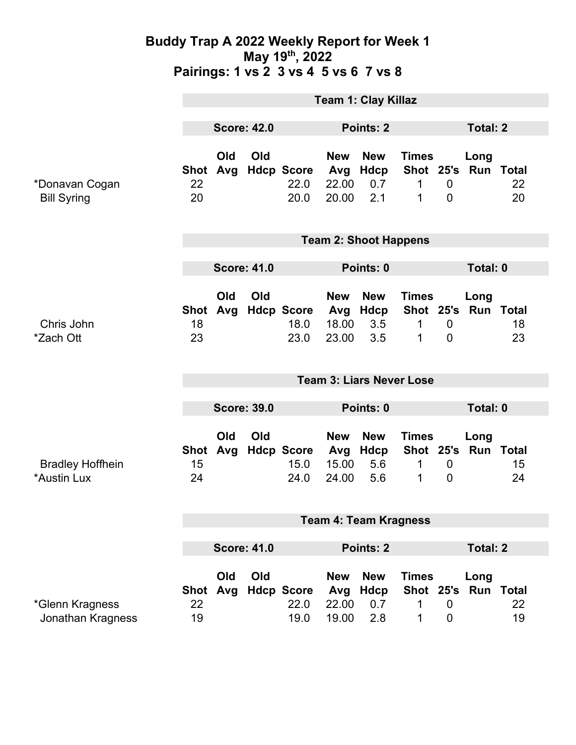### **Buddy Trap A 2022 Weekly Report for Week 1 May 19th, 2022 Pairings: 1 vs 2 3 vs 4 5 vs 6 7 vs 8**

|                                        | <b>Team 1: Clay Killaz</b>      |                 |           |                                   |                                     |                                         |                                                          |                                 |                             |                              |
|----------------------------------------|---------------------------------|-----------------|-----------|-----------------------------------|-------------------------------------|-----------------------------------------|----------------------------------------------------------|---------------------------------|-----------------------------|------------------------------|
|                                        | <b>Score: 42.0</b>              |                 | Points: 2 |                                   |                                     | <b>Total: 2</b>                         |                                                          |                                 |                             |                              |
| *Donavan Cogan<br><b>Bill Syring</b>   | 22<br>20                        | Old<br>Shot Avg | Old       | <b>Hdcp Score</b><br>22.0<br>20.0 | <b>New</b><br>Avg<br>22.00<br>20.00 | <b>New</b><br>Hdcp<br>0.7<br>2.1        | <b>Times</b><br>Shot 25's Run Total<br>$\mathbf{1}$<br>1 | $\mathbf 0$<br>$\mathbf 0$      | Long                        | 22<br>20                     |
|                                        | <b>Team 2: Shoot Happens</b>    |                 |           |                                   |                                     |                                         |                                                          |                                 |                             |                              |
|                                        | <b>Score: 41.0</b>              |                 |           | Points: 0                         |                                     |                                         |                                                          | Total: 0                        |                             |                              |
| Chris John<br>*Zach Ott                | <b>Shot</b><br>18<br>23         | Old<br>Avg      | Old       | <b>Hdcp Score</b><br>18.0<br>23.0 | <b>New</b><br>Avg<br>18.00<br>23.00 | <b>New</b><br>Hdcp<br>3.5<br>3.5        | <b>Times</b><br>1<br>1                                   | $\mathbf 0$<br>$\mathbf{0}$     | Long<br>Shot 25's Run Total | 18<br>23                     |
|                                        | <b>Team 3: Liars Never Lose</b> |                 |           |                                   |                                     |                                         |                                                          |                                 |                             |                              |
|                                        | <b>Score: 39.0</b>              |                 |           |                                   | Points: 0                           |                                         |                                                          | Total: 0                        |                             |                              |
| <b>Bradley Hoffhein</b><br>*Austin Lux | Shot<br>15<br>24                | Old<br>Avg      | Old       | <b>Hdcp Score</b><br>15.0<br>24.0 | <b>New</b><br>Avg<br>15.00<br>24.00 | <b>New</b><br>Hdcp<br>5.6<br>5.6        | <b>Times</b><br>1<br>1                                   | $\mathbf 0$<br>$\mathbf 0$      | Long<br>Shot 25's Run Total | 15<br>24                     |
|                                        | <b>Team 4: Team Kragness</b>    |                 |           |                                   |                                     |                                         |                                                          |                                 |                             |                              |
|                                        | <b>Score: 41.0</b>              |                 |           |                                   | <b>Points: 2</b>                    |                                         |                                                          | <b>Total: 2</b>                 |                             |                              |
| *Glenn Kragness<br>Jonathan Kragness   | <b>Shot</b><br>22<br>19         | Old<br>Avg      | Old       | <b>Hdcp Score</b><br>22.0<br>19.0 | <b>New</b><br>Avg<br>22.00<br>19.00 | <b>New</b><br><b>Hdcp</b><br>0.7<br>2.8 | <b>Times</b><br>Shot 25's<br>1<br>1                      | $\mathbf 0$<br>$\boldsymbol{0}$ | Long                        | <b>Run Total</b><br>22<br>19 |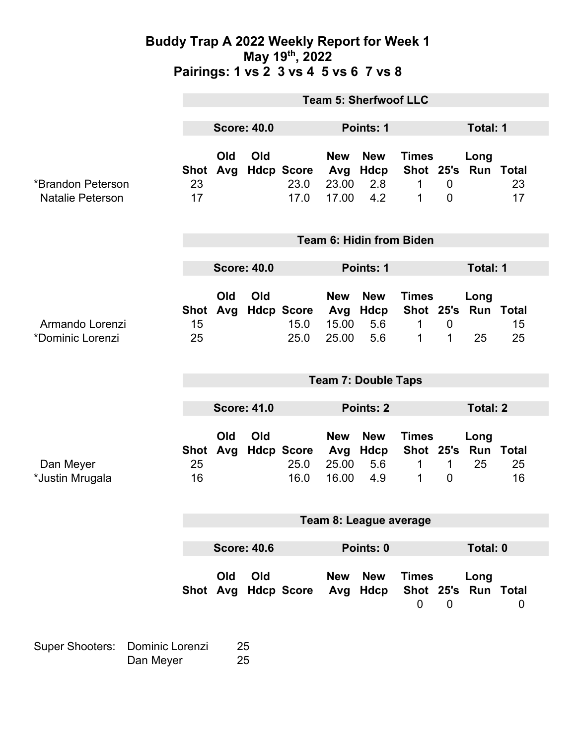### **Buddy Trap A 2022 Weekly Report for Week 1 May 19th, 2022 Pairings: 1 vs 2 3 vs 4 5 vs 6 7 vs 8**

|                                              | <b>Team 5: Sherfwoof LLC</b> |            |     |                                   |                                     |                                         |                                                          |                                  |                         |                          |  |
|----------------------------------------------|------------------------------|------------|-----|-----------------------------------|-------------------------------------|-----------------------------------------|----------------------------------------------------------|----------------------------------|-------------------------|--------------------------|--|
|                                              | <b>Score: 40.0</b>           |            |     |                                   | <b>Points: 1</b>                    |                                         |                                                          | Total: 1                         |                         |                          |  |
| *Brandon Peterson<br><b>Natalie Peterson</b> | Shot Avg<br>23<br>17         | Old        | Old | <b>Hdcp Score</b><br>23.0<br>17.0 | <b>New</b><br>Avg<br>23.00<br>17.00 | <b>New</b><br><b>Hdcp</b><br>2.8<br>4.2 | <b>Times</b><br>Shot 25's Run Total<br>$\mathbf{1}$<br>1 | $\overline{0}$<br>$\overline{0}$ | Long                    | 23<br>17                 |  |
|                                              | Team 6: Hidin from Biden     |            |     |                                   |                                     |                                         |                                                          |                                  |                         |                          |  |
|                                              | <b>Score: 40.0</b>           |            |     |                                   | Points: 1                           |                                         |                                                          |                                  | Total: 1                |                          |  |
| Armando Lorenzi<br>*Dominic Lorenzi          | <b>Shot</b><br>15<br>25      | Old<br>Avg | Old | <b>Hdcp Score</b><br>15.0<br>25.0 | <b>New</b><br>Avg<br>15.00<br>25.00 | <b>New</b><br>Hdcp<br>5.6<br>5.6        | <b>Times</b><br>Shot 25's<br>$\mathbf{1}$<br>1           | $\boldsymbol{0}$<br>$\mathbf 1$  | Long<br>Run Total<br>25 | 15<br>25                 |  |
|                                              | <b>Team 7: Double Taps</b>   |            |     |                                   |                                     |                                         |                                                          |                                  |                         |                          |  |
|                                              | <b>Score: 41.0</b>           |            |     |                                   | Points: 2                           |                                         |                                                          |                                  | <b>Total: 2</b>         |                          |  |
| Dan Meyer<br>*Justin Mrugala                 | <b>Shot</b><br>25<br>16      | Old<br>Avg | Old | <b>Hdcp Score</b><br>25.0<br>16.0 | <b>New</b><br>Avg<br>25.00<br>16.00 | <b>New</b><br><b>Hdcp</b><br>5.6<br>4.9 | <b>Times</b><br>Shot 25's<br>1<br>1                      | $\mathbf 1$<br>$\overline{0}$    | Long<br>Run<br>25       | <b>Total</b><br>25<br>16 |  |
|                                              | Team 8: League average       |            |     |                                   |                                     |                                         |                                                          |                                  |                         |                          |  |
|                                              | <b>Score: 40.6</b>           |            |     |                                   | Points: 0                           |                                         |                                                          | Total: 0                         |                         |                          |  |
|                                              | Shot Avg                     | Old        | Old | <b>Hdcp Score</b>                 | <b>New</b><br>Avg                   | <b>New</b><br>Hdcp                      | <b>Times</b><br>Shot 25's Run Total<br>$\mathbf 0$       | $\mathbf 0$                      | Long                    | 0                        |  |

Super Shooters: Dominic Lorenzi 25 Dan Meyer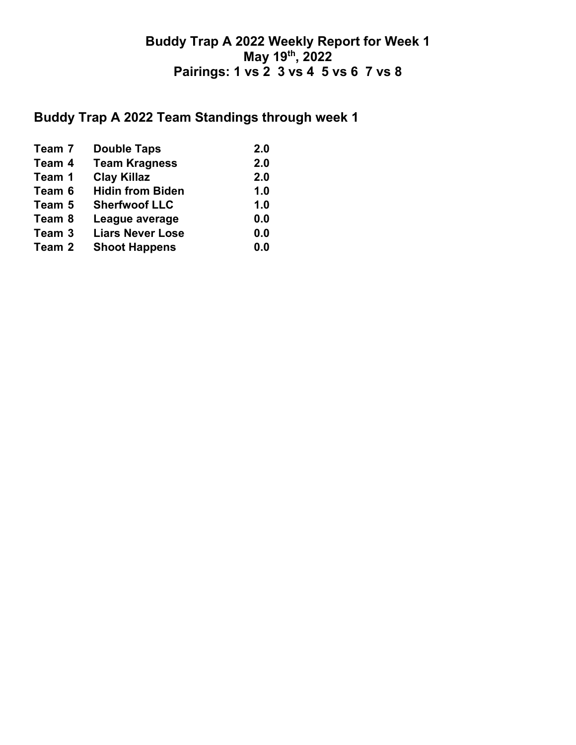## **Buddy Trap A 2022 Weekly Report for Week 1 May 19th, 2022 Pairings: 1 vs 2 3 vs 4 5 vs 6 7 vs 8**

# **Buddy Trap A 2022 Team Standings through week 1**

| Team 7 | <b>Double Taps</b>      | 2.0 |
|--------|-------------------------|-----|
| Team 4 | <b>Team Kragness</b>    | 2.0 |
| Team 1 | <b>Clay Killaz</b>      | 2.0 |
| Team 6 | <b>Hidin from Biden</b> | 1.0 |
| Team 5 | <b>Sherfwoof LLC</b>    | 1.0 |
| Team 8 | League average          | 0.0 |
| Team 3 | <b>Liars Never Lose</b> | 0.0 |
| Team 2 | <b>Shoot Happens</b>    | 0.0 |